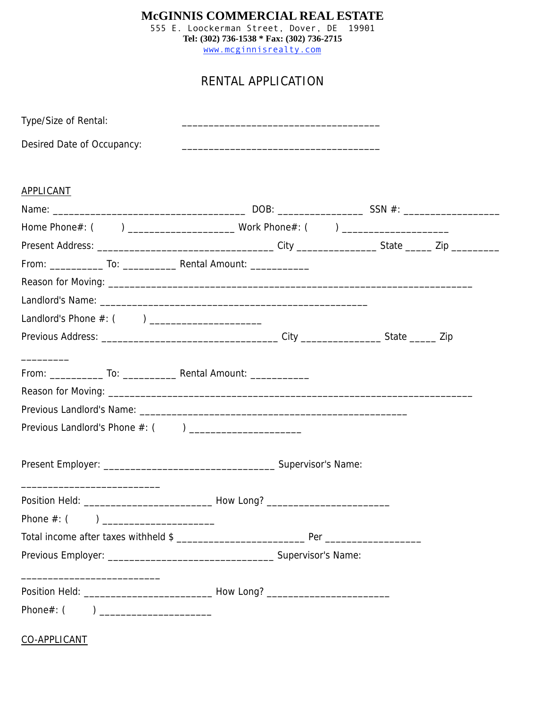## **McGINNIS COMMERCIAL REAL ESTATE**

555 E. Loockerman Street, Dover, DE 19901 **Tel: (302) 736-1538 \* Fax: (302) 736-2715** www.mcginnisrealty.com

## RENTAL APPLICATION

| Type/Size of Rental:                                                             | and the control of the control of the control of the control of the control of the control of the control of the |  |
|----------------------------------------------------------------------------------|------------------------------------------------------------------------------------------------------------------|--|
| Desired Date of Occupancy:                                                       |                                                                                                                  |  |
|                                                                                  |                                                                                                                  |  |
| <b>APPLICANT</b>                                                                 |                                                                                                                  |  |
|                                                                                  |                                                                                                                  |  |
|                                                                                  |                                                                                                                  |  |
|                                                                                  |                                                                                                                  |  |
|                                                                                  |                                                                                                                  |  |
|                                                                                  |                                                                                                                  |  |
|                                                                                  |                                                                                                                  |  |
| Landlord's Phone #: () ______________________                                    |                                                                                                                  |  |
|                                                                                  |                                                                                                                  |  |
|                                                                                  |                                                                                                                  |  |
|                                                                                  |                                                                                                                  |  |
|                                                                                  |                                                                                                                  |  |
|                                                                                  |                                                                                                                  |  |
|                                                                                  |                                                                                                                  |  |
|                                                                                  |                                                                                                                  |  |
|                                                                                  |                                                                                                                  |  |
|                                                                                  |                                                                                                                  |  |
| Position Held: __________________________________How Long? _____________________ |                                                                                                                  |  |
| Phone $#:$ (                                                                     |                                                                                                                  |  |
|                                                                                  |                                                                                                                  |  |
|                                                                                  |                                                                                                                  |  |
|                                                                                  |                                                                                                                  |  |
|                                                                                  |                                                                                                                  |  |
|                                                                                  |                                                                                                                  |  |
|                                                                                  |                                                                                                                  |  |
| CO-APPLICANT                                                                     |                                                                                                                  |  |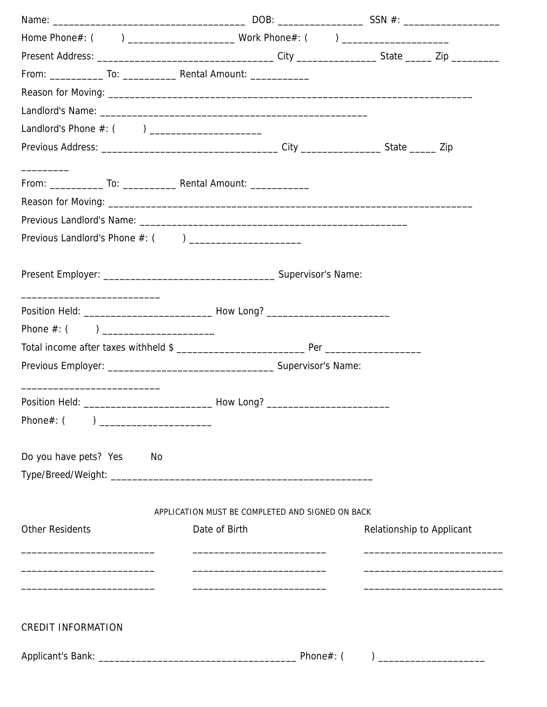| Landlord's Phone #: () ________________________                                   |               |                                                  |                           |                                                                                                                   |
|-----------------------------------------------------------------------------------|---------------|--------------------------------------------------|---------------------------|-------------------------------------------------------------------------------------------------------------------|
|                                                                                   |               |                                                  |                           |                                                                                                                   |
|                                                                                   |               |                                                  |                           |                                                                                                                   |
|                                                                                   |               |                                                  |                           |                                                                                                                   |
|                                                                                   |               |                                                  |                           |                                                                                                                   |
|                                                                                   |               |                                                  |                           |                                                                                                                   |
|                                                                                   |               |                                                  |                           |                                                                                                                   |
|                                                                                   |               |                                                  |                           |                                                                                                                   |
|                                                                                   |               |                                                  |                           |                                                                                                                   |
|                                                                                   |               |                                                  |                           |                                                                                                                   |
| Position Held: ___________________________________How Long? _____________________ |               |                                                  |                           |                                                                                                                   |
|                                                                                   |               |                                                  |                           |                                                                                                                   |
|                                                                                   |               |                                                  |                           |                                                                                                                   |
|                                                                                   |               |                                                  |                           |                                                                                                                   |
|                                                                                   |               |                                                  |                           |                                                                                                                   |
| Position Held: ___________________________________How Long? _____________________ |               |                                                  |                           |                                                                                                                   |
| Phone#: (                                                                         |               |                                                  |                           |                                                                                                                   |
|                                                                                   |               |                                                  |                           |                                                                                                                   |
| Do you have pets? Yes<br>No                                                       |               |                                                  |                           |                                                                                                                   |
|                                                                                   |               |                                                  |                           |                                                                                                                   |
|                                                                                   |               |                                                  |                           |                                                                                                                   |
|                                                                                   |               | APPLICATION MUST BE COMPLETED AND SIGNED ON BACK |                           |                                                                                                                   |
| <b>Other Residents</b>                                                            | Date of Birth |                                                  | Relationship to Applicant |                                                                                                                   |
|                                                                                   |               | <u> 1989 - Andrea Andrew Maria (h. 1989).</u>    |                           |                                                                                                                   |
|                                                                                   |               |                                                  |                           |                                                                                                                   |
|                                                                                   |               |                                                  |                           |                                                                                                                   |
|                                                                                   |               |                                                  |                           |                                                                                                                   |
| <b>CREDIT INFORMATION</b>                                                         |               |                                                  |                           |                                                                                                                   |
|                                                                                   |               |                                                  |                           |                                                                                                                   |
|                                                                                   |               |                                                  |                           | $\begin{tabular}{ c c c c } \hline \quad \quad & \quad \quad & \quad \quad & \quad \quad \\ \hline \end{tabular}$ |